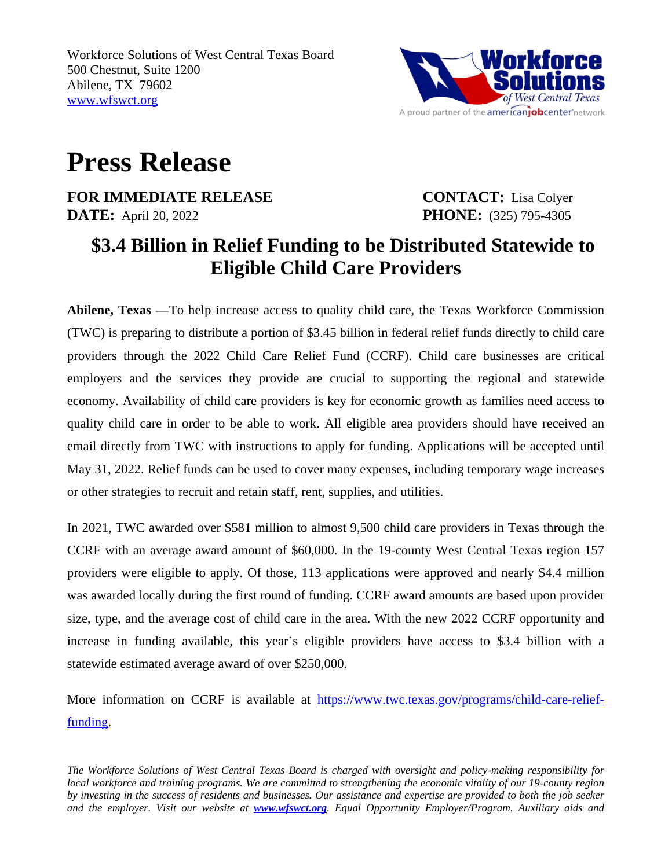

## **Press Release**

**FOR IMMEDIATE RELEASE CONTACT:** Lisa Colyer **DATE:** April 20, 2022 **PHONE:** (325) 795-4305

## **\$3.4 Billion in Relief Funding to be Distributed Statewide to Eligible Child Care Providers**

**Abilene, Texas —**To help increase access to quality child care, the Texas Workforce Commission (TWC) is preparing to distribute a portion of \$3.45 billion in federal relief funds directly to child care providers through the 2022 Child Care Relief Fund (CCRF). Child care businesses are critical employers and the services they provide are crucial to supporting the regional and statewide economy. Availability of child care providers is key for economic growth as families need access to quality child care in order to be able to work. All eligible area providers should have received an email directly from TWC with instructions to apply for funding. Applications will be accepted until May 31, 2022. Relief funds can be used to cover many expenses, including temporary wage increases or other strategies to recruit and retain staff, rent, supplies, and utilities.

In 2021, TWC awarded over \$581 million to almost 9,500 child care providers in Texas through the CCRF with an average award amount of \$60,000. In the 19-county West Central Texas region 157 providers were eligible to apply. Of those, 113 applications were approved and nearly \$4.4 million was awarded locally during the first round of funding. CCRF award amounts are based upon provider size, type, and the average cost of child care in the area. With the new 2022 CCRF opportunity and increase in funding available, this year's eligible providers have access to \$3.4 billion with a statewide estimated average award of over \$250,000.

More information on CCRF is available at [https://www.twc.texas.gov/programs/child-care-relief](https://www.twc.texas.gov/programs/child-care-relief-funding)funding.

The Workforce Solutions of West Central Texas Board is charged with oversight and policy-making responsibility for local workforce and training programs. We are committed to strengthening the economic vitality of our 19-county region by investing in the success of residents and businesses. Our assistance and expertise are provided to both the job seeker *and the employer. Visit our website at [www.wfswct.org](http://www.wfswct.org). Equal Opportunity Employer/Program. Auxiliary aids and*